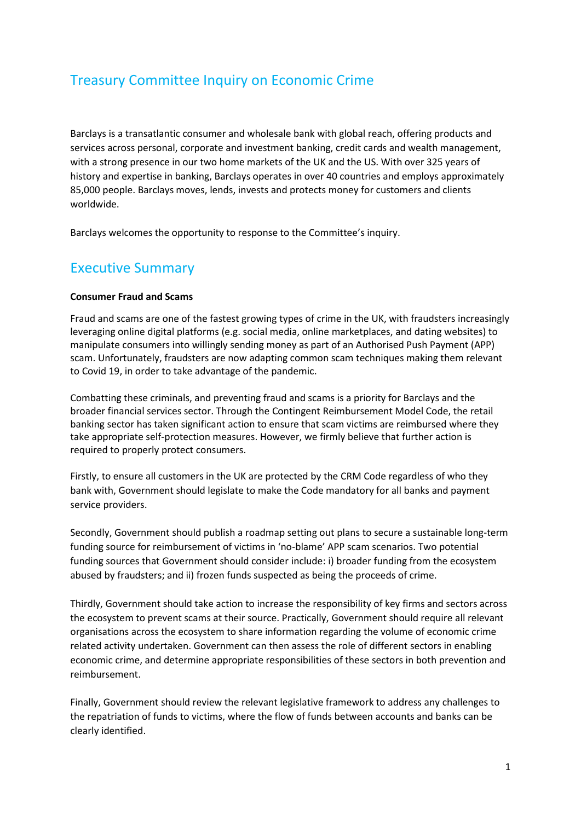# Treasury Committee Inquiry on Economic Crime

Barclays is a transatlantic consumer and wholesale bank with global reach, offering products and services across personal, corporate and investment banking, credit cards and wealth management, with a strong presence in our two home markets of the UK and the US. With over 325 years of history and expertise in banking, Barclays operates in over 40 countries and employs approximately 85,000 people. Barclays moves, lends, invests and protects money for customers and clients worldwide.

Barclays welcomes the opportunity to response to the Committee's inquiry.

# Executive Summary

#### **Consumer Fraud and Scams**

Fraud and scams are one of the fastest growing types of crime in the UK, with fraudsters increasingly leveraging online digital platforms (e.g. social media, online marketplaces, and dating websites) to manipulate consumers into willingly sending money as part of an Authorised Push Payment (APP) scam. Unfortunately, fraudsters are now adapting common scam techniques making them relevant to Covid 19, in order to take advantage of the pandemic.

Combatting these criminals, and preventing fraud and scams is a priority for Barclays and the broader financial services sector. Through the Contingent Reimbursement Model Code, the retail banking sector has taken significant action to ensure that scam victims are reimbursed where they take appropriate self-protection measures. However, we firmly believe that further action is required to properly protect consumers.

Firstly, to ensure all customers in the UK are protected by the CRM Code regardless of who they bank with, Government should legislate to make the Code mandatory for all banks and payment service providers.

Secondly, Government should publish a roadmap setting out plans to secure a sustainable long-term funding source for reimbursement of victims in 'no-blame' APP scam scenarios. Two potential funding sources that Government should consider include: i) broader funding from the ecosystem abused by fraudsters; and ii) frozen funds suspected as being the proceeds of crime.

Thirdly, Government should take action to increase the responsibility of key firms and sectors across the ecosystem to prevent scams at their source. Practically, Government should require all relevant organisations across the ecosystem to share information regarding the volume of economic crime related activity undertaken. Government can then assess the role of different sectors in enabling economic crime, and determine appropriate responsibilities of these sectors in both prevention and reimbursement.

Finally, Government should review the relevant legislative framework to address any challenges to the repatriation of funds to victims, where the flow of funds between accounts and banks can be clearly identified.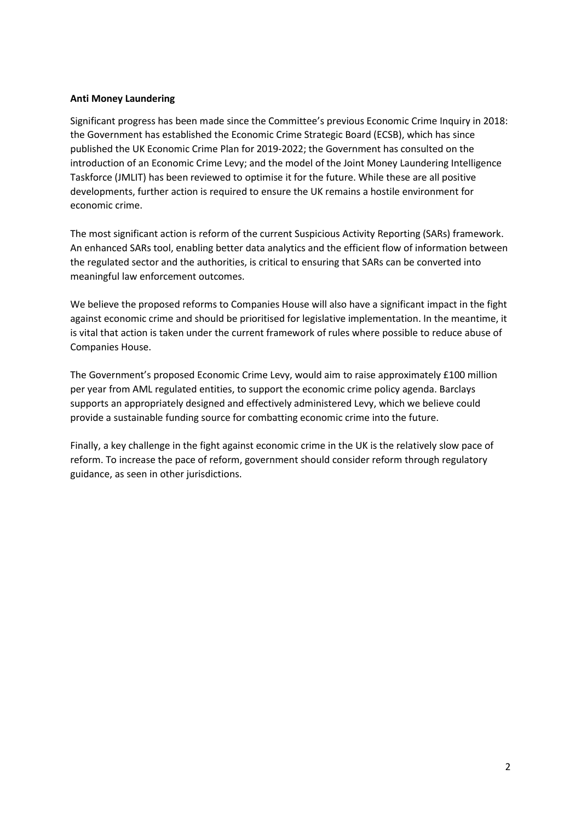#### **Anti Money Laundering**

Significant progress has been made since the Committee's previous Economic Crime Inquiry in 2018: the Government has established the Economic Crime Strategic Board (ECSB), which has since published the UK Economic Crime Plan for 2019-2022; the Government has consulted on the introduction of an Economic Crime Levy; and the model of the Joint Money Laundering Intelligence Taskforce (JMLIT) has been reviewed to optimise it for the future. While these are all positive developments, further action is required to ensure the UK remains a hostile environment for economic crime.

The most significant action is reform of the current Suspicious Activity Reporting (SARs) framework. An enhanced SARs tool, enabling better data analytics and the efficient flow of information between the regulated sector and the authorities, is critical to ensuring that SARs can be converted into meaningful law enforcement outcomes.

We believe the proposed reforms to Companies House will also have a significant impact in the fight against economic crime and should be prioritised for legislative implementation. In the meantime, it is vital that action is taken under the current framework of rules where possible to reduce abuse of Companies House.

The Government's proposed Economic Crime Levy, would aim to raise approximately £100 million per year from AML regulated entities, to support the economic crime policy agenda. Barclays supports an appropriately designed and effectively administered Levy, which we believe could provide a sustainable funding source for combatting economic crime into the future.

Finally, a key challenge in the fight against economic crime in the UK is the relatively slow pace of reform. To increase the pace of reform, government should consider reform through regulatory guidance, as seen in other jurisdictions.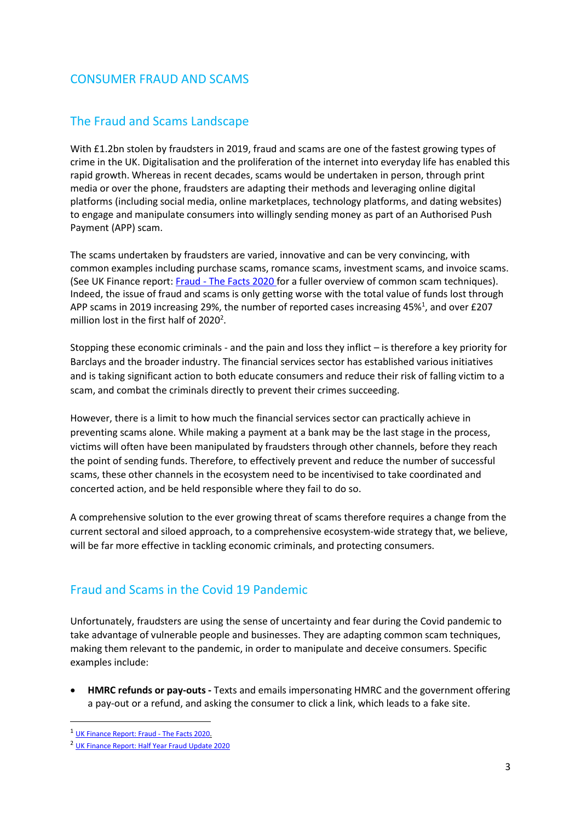# CONSUMER FRAUD AND SCAMS

# The Fraud and Scams Landscape

With £1.2bn stolen by fraudsters in 2019, fraud and scams are one of the fastest growing types of crime in the UK. Digitalisation and the proliferation of the internet into everyday life has enabled this rapid growth. Whereas in recent decades, scams would be undertaken in person, through print media or over the phone, fraudsters are adapting their methods and leveraging online digital platforms (including social media, online marketplaces, technology platforms, and dating websites) to engage and manipulate consumers into willingly sending money as part of an Authorised Push Payment (APP) scam.

The scams undertaken by fraudsters are varied, innovative and can be very convincing, with common examples including purchase scams, romance scams, investment scams, and invoice scams. (See UK Finance report: Fraud - [The Facts 2020](https://www.ukfinance.org.uk/system/files/Fraud-The-Facts-2020-FINAL-ONLINE-11-June.pdf) for a fuller overview of common scam techniques). Indeed, the issue of fraud and scams is only getting worse with the total value of funds lost through APP scams in 2019 increasing 29%, the number of reported cases increasing 45%<sup>1</sup>, and over £207 million lost in the first half of  $2020^2$ .

Stopping these economic criminals - and the pain and loss they inflict – is therefore a key priority for Barclays and the broader industry. The financial services sector has established various initiatives and is taking significant action to both educate consumers and reduce their risk of falling victim to a scam, and combat the criminals directly to prevent their crimes succeeding.

However, there is a limit to how much the financial services sector can practically achieve in preventing scams alone. While making a payment at a bank may be the last stage in the process, victims will often have been manipulated by fraudsters through other channels, before they reach the point of sending funds. Therefore, to effectively prevent and reduce the number of successful scams, these other channels in the ecosystem need to be incentivised to take coordinated and concerted action, and be held responsible where they fail to do so.

A comprehensive solution to the ever growing threat of scams therefore requires a change from the current sectoral and siloed approach, to a comprehensive ecosystem-wide strategy that, we believe, will be far more effective in tackling economic criminals, and protecting consumers.

# Fraud and Scams in the Covid 19 Pandemic

Unfortunately, fraudsters are using the sense of uncertainty and fear during the Covid pandemic to take advantage of vulnerable people and businesses. They are adapting common scam techniques, making them relevant to the pandemic, in order to manipulate and deceive consumers. Specific examples include:

 **HMRC refunds or pay-outs -** Texts and emails impersonating HMRC and the government offering a pay-out or a refund, and asking the consumer to click a link, which leads to a fake site.

 $\overline{a}$ 

<sup>1</sup> [UK Finance Report: Fraud -](https://www.ukfinance.org.uk/system/files/Fraud-The-Facts-2020-FINAL-ONLINE-11-June.pdf) The Facts 2020.

<sup>2</sup> [UK Finance Report: Half Year Fraud Update 2020](https://www.ukfinance.org.uk/system/files/Fraud-The-Facts-2020-FINAL-ONLINE-11-June.pdf)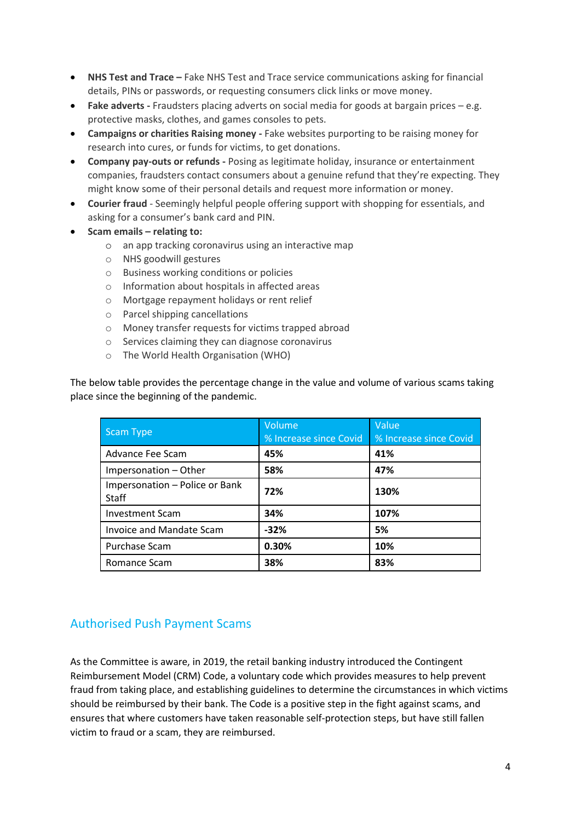- **NHS Test and Trace –** Fake NHS Test and Trace service communications asking for financial details, PINs or passwords, or requesting consumers click links or move money.
- **Fake adverts -** Fraudsters placing adverts on social media for goods at bargain prices e.g. protective masks, clothes, and games consoles to pets.
- **Campaigns or charities Raising money -** Fake websites purporting to be raising money for research into cures, or funds for victims, to get donations.
- **Company pay-outs or refunds -** Posing as legitimate holiday, insurance or entertainment companies, fraudsters contact consumers about a genuine refund that they're expecting. They might know some of their personal details and request more information or money.
- **Courier fraud** Seemingly helpful people offering support with shopping for essentials, and asking for a consumer's bank card and PIN.
- **Scam emails – relating to:**
	- o an app tracking coronavirus using an interactive map
	- o NHS goodwill gestures
	- o Business working conditions or policies
	- o Information about hospitals in affected areas
	- o Mortgage repayment holidays or rent relief
	- o Parcel shipping cancellations
	- o Money transfer requests for victims trapped abroad
	- o Services claiming they can diagnose coronavirus
	- o The World Health Organisation (WHO)

The below table provides the percentage change in the value and volume of various scams taking place since the beginning of the pandemic.

| <b>Scam Type</b>                               | Volume<br>% Increase since Covid | Value<br>% Increase since Covid |
|------------------------------------------------|----------------------------------|---------------------------------|
| Advance Fee Scam                               | 45%                              | 41%                             |
| Impersonation - Other                          | 58%                              | 47%                             |
| Impersonation - Police or Bank<br><b>Staff</b> | 72%                              | 130%                            |
| <b>Investment Scam</b>                         | 34%                              | 107%                            |
| Invoice and Mandate Scam                       | $-32%$                           | 5%                              |
| Purchase Scam                                  | 0.30%                            | 10%                             |
| Romance Scam                                   | 38%                              | 83%                             |

# Authorised Push Payment Scams

As the Committee is aware, in 2019, the retail banking industry introduced the Contingent Reimbursement Model (CRM) Code, a voluntary code which provides measures to help prevent fraud from taking place, and establishing guidelines to determine the circumstances in which victims should be reimbursed by their bank. The Code is a positive step in the fight against scams, and ensures that where customers have taken reasonable self-protection steps, but have still fallen victim to fraud or a scam, they are reimbursed.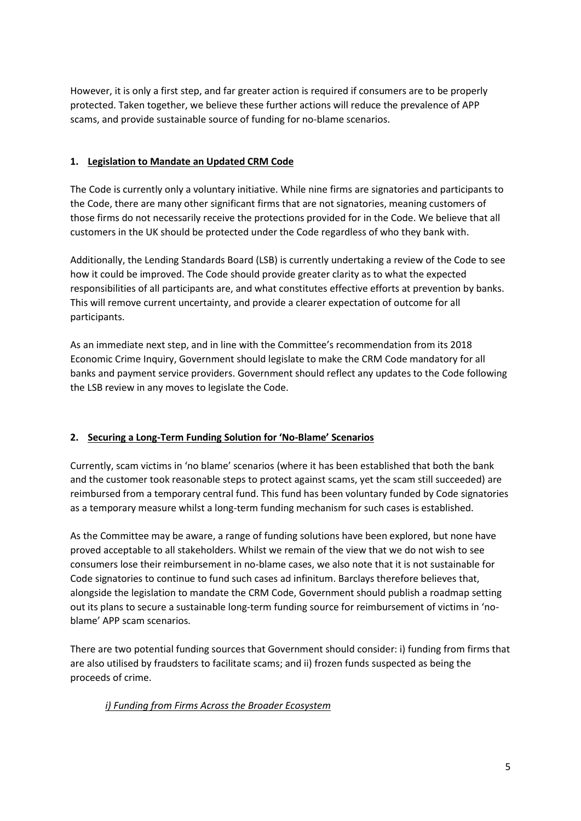However, it is only a first step, and far greater action is required if consumers are to be properly protected. Taken together, we believe these further actions will reduce the prevalence of APP scams, and provide sustainable source of funding for no-blame scenarios.

### **1. Legislation to Mandate an Updated CRM Code**

The Code is currently only a voluntary initiative. While nine firms are signatories and participants to the Code, there are many other significant firms that are not signatories, meaning customers of those firms do not necessarily receive the protections provided for in the Code. We believe that all customers in the UK should be protected under the Code regardless of who they bank with.

Additionally, the Lending Standards Board (LSB) is currently undertaking a review of the Code to see how it could be improved. The Code should provide greater clarity as to what the expected responsibilities of all participants are, and what constitutes effective efforts at prevention by banks. This will remove current uncertainty, and provide a clearer expectation of outcome for all participants.

As an immediate next step, and in line with the Committee's recommendation from its 2018 Economic Crime Inquiry, Government should legislate to make the CRM Code mandatory for all banks and payment service providers. Government should reflect any updates to the Code following the LSB review in any moves to legislate the Code.

### **2. Securing a Long-Term Funding Solution for 'No-Blame' Scenarios**

Currently, scam victims in 'no blame' scenarios (where it has been established that both the bank and the customer took reasonable steps to protect against scams, yet the scam still succeeded) are reimbursed from a temporary central fund. This fund has been voluntary funded by Code signatories as a temporary measure whilst a long-term funding mechanism for such cases is established.

As the Committee may be aware, a range of funding solutions have been explored, but none have proved acceptable to all stakeholders. Whilst we remain of the view that we do not wish to see consumers lose their reimbursement in no-blame cases, we also note that it is not sustainable for Code signatories to continue to fund such cases ad infinitum. Barclays therefore believes that, alongside the legislation to mandate the CRM Code, Government should publish a roadmap setting out its plans to secure a sustainable long-term funding source for reimbursement of victims in 'noblame' APP scam scenarios.

There are two potential funding sources that Government should consider: i) funding from firms that are also utilised by fraudsters to facilitate scams; and ii) frozen funds suspected as being the proceeds of crime.

#### *i) Funding from Firms Across the Broader Ecosystem*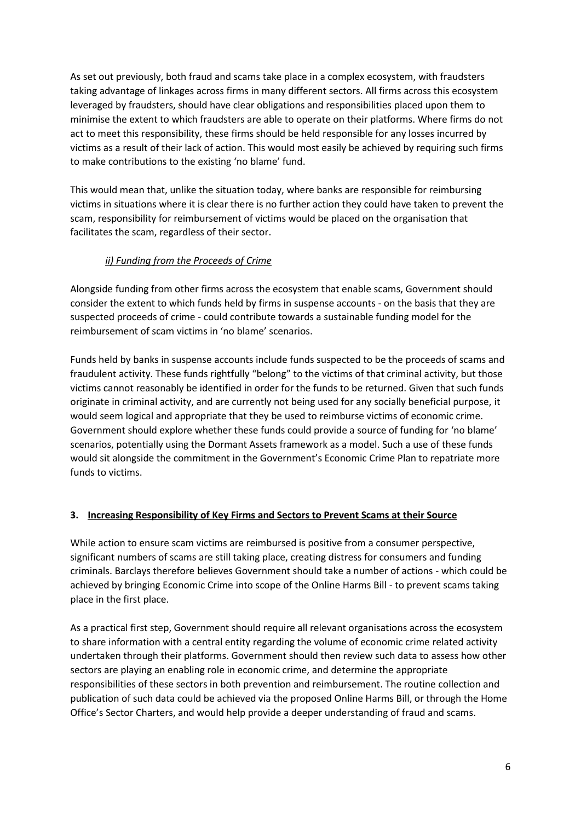As set out previously, both fraud and scams take place in a complex ecosystem, with fraudsters taking advantage of linkages across firms in many different sectors. All firms across this ecosystem leveraged by fraudsters, should have clear obligations and responsibilities placed upon them to minimise the extent to which fraudsters are able to operate on their platforms. Where firms do not act to meet this responsibility, these firms should be held responsible for any losses incurred by victims as a result of their lack of action. This would most easily be achieved by requiring such firms to make contributions to the existing 'no blame' fund.

This would mean that, unlike the situation today, where banks are responsible for reimbursing victims in situations where it is clear there is no further action they could have taken to prevent the scam, responsibility for reimbursement of victims would be placed on the organisation that facilitates the scam, regardless of their sector.

### *ii) Funding from the Proceeds of Crime*

Alongside funding from other firms across the ecosystem that enable scams, Government should consider the extent to which funds held by firms in suspense accounts - on the basis that they are suspected proceeds of crime - could contribute towards a sustainable funding model for the reimbursement of scam victims in 'no blame' scenarios.

Funds held by banks in suspense accounts include funds suspected to be the proceeds of scams and fraudulent activity. These funds rightfully "belong" to the victims of that criminal activity, but those victims cannot reasonably be identified in order for the funds to be returned. Given that such funds originate in criminal activity, and are currently not being used for any socially beneficial purpose, it would seem logical and appropriate that they be used to reimburse victims of economic crime. Government should explore whether these funds could provide a source of funding for 'no blame' scenarios, potentially using the Dormant Assets framework as a model. Such a use of these funds would sit alongside the commitment in the Government's Economic Crime Plan to repatriate more funds to victims.

#### **3. Increasing Responsibility of Key Firms and Sectors to Prevent Scams at their Source**

While action to ensure scam victims are reimbursed is positive from a consumer perspective, significant numbers of scams are still taking place, creating distress for consumers and funding criminals. Barclays therefore believes Government should take a number of actions - which could be achieved by bringing Economic Crime into scope of the Online Harms Bill - to prevent scams taking place in the first place.

As a practical first step, Government should require all relevant organisations across the ecosystem to share information with a central entity regarding the volume of economic crime related activity undertaken through their platforms. Government should then review such data to assess how other sectors are playing an enabling role in economic crime, and determine the appropriate responsibilities of these sectors in both prevention and reimbursement. The routine collection and publication of such data could be achieved via the proposed Online Harms Bill, or through the Home Office's Sector Charters, and would help provide a deeper understanding of fraud and scams.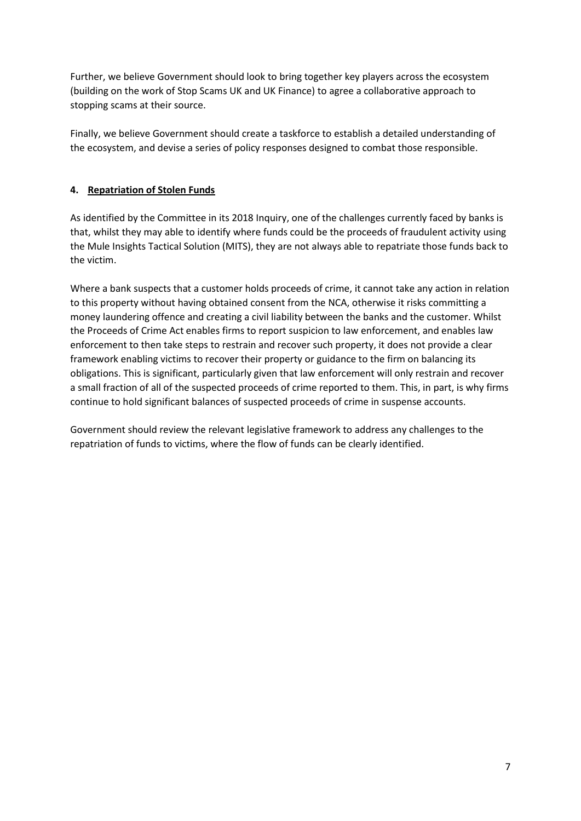Further, we believe Government should look to bring together key players across the ecosystem (building on the work of Stop Scams UK and UK Finance) to agree a collaborative approach to stopping scams at their source.

Finally, we believe Government should create a taskforce to establish a detailed understanding of the ecosystem, and devise a series of policy responses designed to combat those responsible.

### **4. Repatriation of Stolen Funds**

As identified by the Committee in its 2018 Inquiry, one of the challenges currently faced by banks is that, whilst they may able to identify where funds could be the proceeds of fraudulent activity using the Mule Insights Tactical Solution (MITS), they are not always able to repatriate those funds back to the victim.

Where a bank suspects that a customer holds proceeds of crime, it cannot take any action in relation to this property without having obtained consent from the NCA, otherwise it risks committing a money laundering offence and creating a civil liability between the banks and the customer. Whilst the Proceeds of Crime Act enables firms to report suspicion to law enforcement, and enables law enforcement to then take steps to restrain and recover such property, it does not provide a clear framework enabling victims to recover their property or guidance to the firm on balancing its obligations. This is significant, particularly given that law enforcement will only restrain and recover a small fraction of all of the suspected proceeds of crime reported to them. This, in part, is why firms continue to hold significant balances of suspected proceeds of crime in suspense accounts.

Government should review the relevant legislative framework to address any challenges to the repatriation of funds to victims, where the flow of funds can be clearly identified.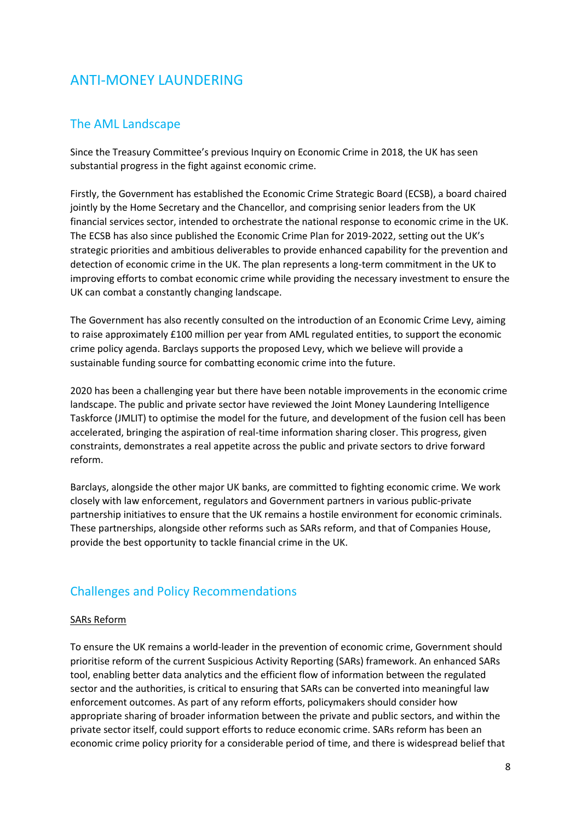# ANTI-MONEY LAUNDERING

## The AML Landscape

Since the Treasury Committee's previous Inquiry on Economic Crime in 2018, the UK has seen substantial progress in the fight against economic crime.

Firstly, the Government has established the Economic Crime Strategic Board (ECSB), a board chaired jointly by the Home Secretary and the Chancellor, and comprising senior leaders from the UK financial services sector, intended to orchestrate the national response to economic crime in the UK. The ECSB has also since published the Economic Crime Plan for 2019-2022, setting out the UK's strategic priorities and ambitious deliverables to provide enhanced capability for the prevention and detection of economic crime in the UK. The plan represents a long-term commitment in the UK to improving efforts to combat economic crime while providing the necessary investment to ensure the UK can combat a constantly changing landscape.

The Government has also recently consulted on the introduction of an Economic Crime Levy, aiming to raise approximately £100 million per year from AML regulated entities, to support the economic crime policy agenda. Barclays supports the proposed Levy, which we believe will provide a sustainable funding source for combatting economic crime into the future.

2020 has been a challenging year but there have been notable improvements in the economic crime landscape. The public and private sector have reviewed the Joint Money Laundering Intelligence Taskforce (JMLIT) to optimise the model for the future, and development of the fusion cell has been accelerated, bringing the aspiration of real-time information sharing closer. This progress, given constraints, demonstrates a real appetite across the public and private sectors to drive forward reform.

Barclays, alongside the other major UK banks, are committed to fighting economic crime. We work closely with law enforcement, regulators and Government partners in various public-private partnership initiatives to ensure that the UK remains a hostile environment for economic criminals. These partnerships, alongside other reforms such as SARs reform, and that of Companies House, provide the best opportunity to tackle financial crime in the UK.

## Challenges and Policy Recommendations

#### SARs Reform

To ensure the UK remains a world-leader in the prevention of economic crime, Government should prioritise reform of the current Suspicious Activity Reporting (SARs) framework. An enhanced SARs tool, enabling better data analytics and the efficient flow of information between the regulated sector and the authorities, is critical to ensuring that SARs can be converted into meaningful law enforcement outcomes. As part of any reform efforts, policymakers should consider how appropriate sharing of broader information between the private and public sectors, and within the private sector itself, could support efforts to reduce economic crime. SARs reform has been an economic crime policy priority for a considerable period of time, and there is widespread belief that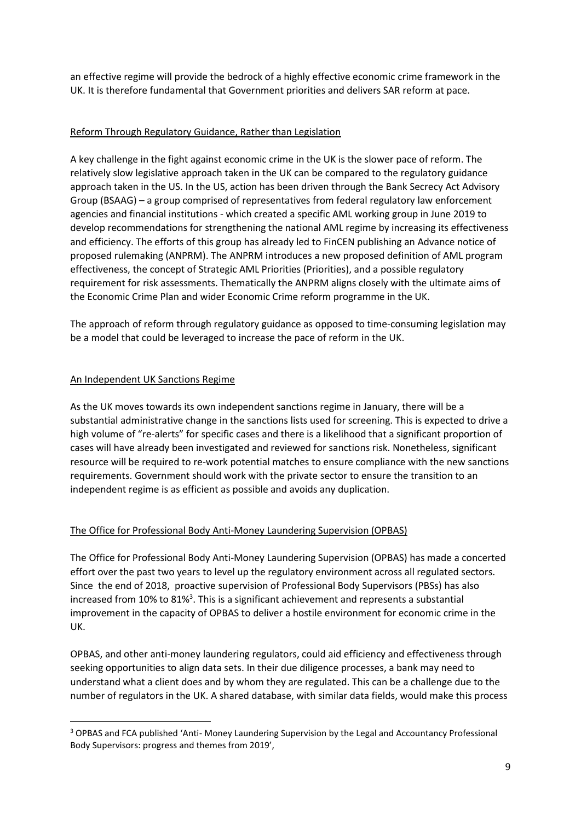an effective regime will provide the bedrock of a highly effective economic crime framework in the UK. It is therefore fundamental that Government priorities and delivers SAR reform at pace.

#### Reform Through Regulatory Guidance, Rather than Legislation

A key challenge in the fight against economic crime in the UK is the slower pace of reform. The relatively slow legislative approach taken in the UK can be compared to the regulatory guidance approach taken in the US. In the US, action has been driven through the Bank Secrecy Act Advisory Group (BSAAG) – a group comprised of representatives from federal regulatory law enforcement agencies and financial institutions - which created a specific AML working group in June 2019 to develop recommendations for strengthening the national AML regime by increasing its effectiveness and efficiency. The efforts of this group has already led to FinCEN publishing an Advance notice of proposed rulemaking (ANPRM). The ANPRM introduces a new proposed definition of AML program effectiveness, the concept of Strategic AML Priorities (Priorities), and a possible regulatory requirement for risk assessments. Thematically the ANPRM aligns closely with the ultimate aims of the Economic Crime Plan and wider Economic Crime reform programme in the UK.

The approach of reform through regulatory guidance as opposed to time-consuming legislation may be a model that could be leveraged to increase the pace of reform in the UK.

#### An Independent UK Sanctions Regime

 $\overline{a}$ 

As the UK moves towards its own independent sanctions regime in January, there will be a substantial administrative change in the sanctions lists used for screening. This is expected to drive a high volume of "re-alerts" for specific cases and there is a likelihood that a significant proportion of cases will have already been investigated and reviewed for sanctions risk. Nonetheless, significant resource will be required to re-work potential matches to ensure compliance with the new sanctions requirements. Government should work with the private sector to ensure the transition to an independent regime is as efficient as possible and avoids any duplication.

### The Office for Professional Body Anti-Money Laundering Supervision (OPBAS)

The Office for Professional Body Anti-Money Laundering Supervision (OPBAS) has made a concerted effort over the past two years to level up the regulatory environment across all regulated sectors. Since the end of 2018, proactive supervision of Professional Body Supervisors (PBSs) has also increased from 10% to 81%<sup>3</sup>. This is a significant achievement and represents a substantial improvement in the capacity of OPBAS to deliver a hostile environment for economic crime in the UK.

OPBAS, and other anti-money laundering regulators, could aid efficiency and effectiveness through seeking opportunities to align data sets. In their due diligence processes, a bank may need to understand what a client does and by whom they are regulated. This can be a challenge due to the number of regulators in the UK. A shared database, with similar data fields, would make this process

<sup>3</sup> OPBAS and FCA published 'Anti- Money Laundering Supervision by the Legal and Accountancy Professional Body Supervisors: progress and themes from 2019',